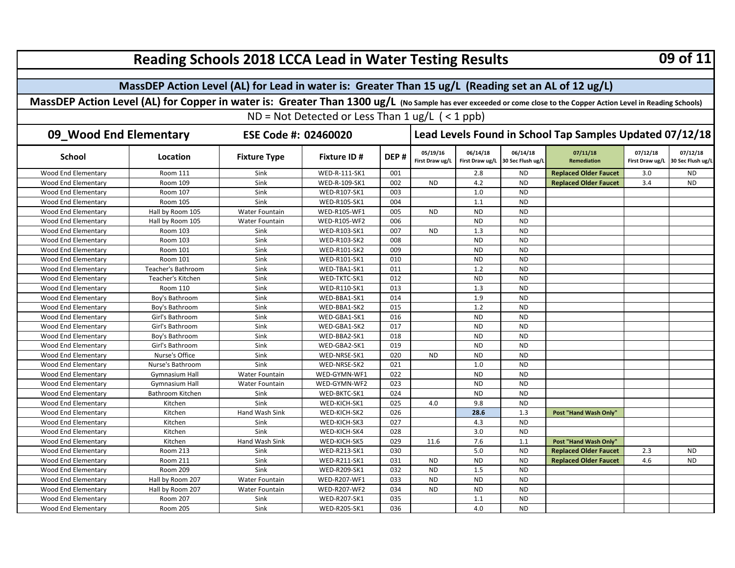| <b>Reading Schools 2018 LCCA Lead in Water Testing Results</b>                                      |                                                                                                                                                                    |                       |                      |                                                          |                             |                             |                               |                                |                             | 09 of 11                      |  |  |
|-----------------------------------------------------------------------------------------------------|--------------------------------------------------------------------------------------------------------------------------------------------------------------------|-----------------------|----------------------|----------------------------------------------------------|-----------------------------|-----------------------------|-------------------------------|--------------------------------|-----------------------------|-------------------------------|--|--|
| MassDEP Action Level (AL) for Lead in water is: Greater Than 15 ug/L (Reading set an AL of 12 ug/L) |                                                                                                                                                                    |                       |                      |                                                          |                             |                             |                               |                                |                             |                               |  |  |
|                                                                                                     | MassDEP Action Level (AL) for Copper in water is: Greater Than 1300 ug/L (No Sample has ever exceeded or come close to the Copper Action Level in Reading Schools) |                       |                      |                                                          |                             |                             |                               |                                |                             |                               |  |  |
|                                                                                                     |                                                                                                                                                                    |                       |                      |                                                          |                             |                             |                               |                                |                             |                               |  |  |
| ND = Not Detected or Less Than $1 \text{ ug/L}$ ( < 1 ppb)                                          |                                                                                                                                                                    |                       |                      |                                                          |                             |                             |                               |                                |                             |                               |  |  |
| 09_Wood End Elementary<br>ESE Code #: 02460020                                                      |                                                                                                                                                                    |                       |                      | Lead Levels Found in School Tap Samples Updated 07/12/18 |                             |                             |                               |                                |                             |                               |  |  |
| <b>School</b>                                                                                       | Location                                                                                                                                                           | <b>Fixture Type</b>   | <b>Fixture ID#</b>   | DEP#                                                     | 05/19/16<br>First Draw ug/L | 06/14/18<br>First Draw ug/L | 06/14/18<br>30 Sec Flush ug/L | 07/11/18<br><b>Remediation</b> | 07/12/18<br>First Draw ug/L | 07/12/18<br>30 Sec Flush ug/L |  |  |
| Wood End Elementary                                                                                 | <b>Room 111</b>                                                                                                                                                    | Sink                  | <b>WED-R-111-SK1</b> | 001                                                      |                             | 2.8                         | <b>ND</b>                     | <b>Replaced Older Faucet</b>   | 3.0                         | ND.                           |  |  |
| <b>Wood End Elementary</b>                                                                          | Room 109                                                                                                                                                           | Sink                  | WED-R-109-SK1        | 002                                                      | <b>ND</b>                   | 4.2                         | <b>ND</b>                     | <b>Replaced Older Faucet</b>   | 3.4                         | <b>ND</b>                     |  |  |
| Wood End Elementary                                                                                 | Room 107                                                                                                                                                           | Sink                  | WED-R107-SK1         | 003                                                      |                             | 1.0                         | <b>ND</b>                     |                                |                             |                               |  |  |
| Wood End Elementary                                                                                 | Room 105                                                                                                                                                           | Sink                  | WED-R105-SK1         | 004                                                      |                             | 1.1                         | <b>ND</b>                     |                                |                             |                               |  |  |
| Wood End Elementary                                                                                 | Hall by Room 105                                                                                                                                                   | Water Fountain        | WED-R105-WF1         | 005                                                      | <b>ND</b>                   | <b>ND</b>                   | <b>ND</b>                     |                                |                             |                               |  |  |
| Wood End Elementary                                                                                 | Hall by Room 105                                                                                                                                                   | Water Fountain        | WED-R105-WF2         | 006                                                      |                             | <b>ND</b>                   | <b>ND</b>                     |                                |                             |                               |  |  |
| Wood End Elementary                                                                                 | Room 103                                                                                                                                                           | Sink                  | WED-R103-SK1         | 007                                                      | <b>ND</b>                   | 1.3                         | <b>ND</b>                     |                                |                             |                               |  |  |
| Wood End Elementary                                                                                 | Room 103                                                                                                                                                           | Sink                  | WED-R103-SK2         | 008                                                      |                             | <b>ND</b>                   | <b>ND</b>                     |                                |                             |                               |  |  |
| Wood End Elementary                                                                                 | Room 101                                                                                                                                                           | Sink                  | WED-R101-SK2         | 009                                                      |                             | <b>ND</b>                   | <b>ND</b>                     |                                |                             |                               |  |  |
| Wood End Elementary                                                                                 | Room 101                                                                                                                                                           | Sink                  | WED-R101-SK1         | 010                                                      |                             | <b>ND</b>                   | <b>ND</b>                     |                                |                             |                               |  |  |
| Wood End Elementary                                                                                 | Teacher's Bathroom                                                                                                                                                 | Sink                  | WED-TBA1-SK1         | 011                                                      |                             | 1.2                         | <b>ND</b>                     |                                |                             |                               |  |  |
| Wood End Elementary                                                                                 | Teacher's Kitchen                                                                                                                                                  | Sink                  | WED-TKTC-SK1         | 012                                                      |                             | <b>ND</b>                   | <b>ND</b>                     |                                |                             |                               |  |  |
| Wood End Elementary                                                                                 | <b>Room 110</b>                                                                                                                                                    | Sink                  | <b>WED-R110-SK1</b>  | 013                                                      |                             | 1.3                         | <b>ND</b>                     |                                |                             |                               |  |  |
| Wood End Elementary                                                                                 | Boy's Bathroom                                                                                                                                                     | Sink                  | WED-BBA1-SK1         | 014                                                      |                             | 1.9                         | <b>ND</b>                     |                                |                             |                               |  |  |
| Wood End Elementary                                                                                 | Boy's Bathroom                                                                                                                                                     | Sink                  | WED-BBA1-SK2         | 015                                                      |                             | 1.2                         | <b>ND</b>                     |                                |                             |                               |  |  |
| Wood End Elementary                                                                                 | Girl's Bathroom                                                                                                                                                    | Sink                  | WED-GBA1-SK1         | 016                                                      |                             | <b>ND</b>                   | <b>ND</b>                     |                                |                             |                               |  |  |
| Wood End Elementary                                                                                 | Girl's Bathroom                                                                                                                                                    | Sink                  | WED-GBA1-SK2         | 017                                                      |                             | <b>ND</b>                   | <b>ND</b>                     |                                |                             |                               |  |  |
| <b>Wood End Elementary</b>                                                                          | Boy's Bathroom                                                                                                                                                     | Sink                  | WED-BBA2-SK1         | 018                                                      |                             | <b>ND</b>                   | <b>ND</b>                     |                                |                             |                               |  |  |
| <b>Wood End Elementary</b>                                                                          | Girl's Bathroom                                                                                                                                                    | Sink                  | WED-GBA2-SK1         | 019                                                      |                             | <b>ND</b>                   | <b>ND</b>                     |                                |                             |                               |  |  |
| Wood End Elementary                                                                                 | Nurse's Office                                                                                                                                                     | Sink                  | WED-NRSE-SK1         | 020                                                      | <b>ND</b>                   | <b>ND</b>                   | <b>ND</b>                     |                                |                             |                               |  |  |
| Wood End Elementary                                                                                 | Nurse's Bathroom                                                                                                                                                   | Sink                  | WED-NRSE-SK2         | 021                                                      |                             | 1.0                         | <b>ND</b>                     |                                |                             |                               |  |  |
| Wood End Elementary                                                                                 | Gymnasium Hall                                                                                                                                                     | Water Fountain        | WED-GYMN-WF1         | 022                                                      |                             | <b>ND</b>                   | <b>ND</b>                     |                                |                             |                               |  |  |
| Wood End Elementary                                                                                 | Gymnasium Hall                                                                                                                                                     | Water Fountain        | WED-GYMN-WF2         | 023                                                      |                             | <b>ND</b>                   | <b>ND</b>                     |                                |                             |                               |  |  |
| Wood End Elementary                                                                                 | Bathroom Kitchen                                                                                                                                                   | Sink                  | WED-BKTC-SK1         | 024                                                      |                             | <b>ND</b>                   | <b>ND</b>                     |                                |                             |                               |  |  |
| Wood End Elementary                                                                                 | Kitchen                                                                                                                                                            | Sink                  | WED-KICH-SK1         | 025                                                      | 4.0                         | 9.8                         | <b>ND</b>                     |                                |                             |                               |  |  |
| Wood End Elementary                                                                                 | Kitchen                                                                                                                                                            | Hand Wash Sink        | WED-KICH-SK2         | 026                                                      |                             | 28.6                        | 1.3                           | Post "Hand Wash Only"          |                             |                               |  |  |
| Wood End Elementary                                                                                 | Kitchen                                                                                                                                                            | Sink                  | WED-KICH-SK3         | 027                                                      |                             | 4.3                         | <b>ND</b>                     |                                |                             |                               |  |  |
| Wood End Elementary                                                                                 | Kitchen                                                                                                                                                            | Sink                  | WED-KICH-SK4         | 028                                                      |                             | 3.0                         | <b>ND</b>                     |                                |                             |                               |  |  |
| Wood End Elementary                                                                                 | Kitchen                                                                                                                                                            | Hand Wash Sink        | WED-KICH-SK5         | 029                                                      | 11.6                        | 7.6                         | 1.1                           | Post "Hand Wash Only"          |                             |                               |  |  |
| Wood End Elementary                                                                                 | <b>Room 213</b>                                                                                                                                                    | Sink                  | <b>WED-R213-SK1</b>  | 030                                                      |                             | 5.0                         | <b>ND</b>                     | <b>Replaced Older Faucet</b>   | 2.3                         | <b>ND</b>                     |  |  |
| Wood End Elementary                                                                                 | <b>Room 211</b>                                                                                                                                                    | Sink                  | <b>WED-R211-SK1</b>  | 031                                                      | <b>ND</b>                   | <b>ND</b>                   | <b>ND</b>                     | <b>Replaced Older Faucet</b>   | 4.6                         | <b>ND</b>                     |  |  |
| Wood End Elementary                                                                                 | <b>Room 209</b>                                                                                                                                                    | Sink                  | <b>WED-R209-SK1</b>  | 032                                                      | <b>ND</b>                   | 1.5                         | <b>ND</b>                     |                                |                             |                               |  |  |
| Wood End Elementary                                                                                 | Hall by Room 207                                                                                                                                                   | <b>Water Fountain</b> | <b>WED-R207-WF1</b>  | 033                                                      | <b>ND</b>                   | <b>ND</b>                   | <b>ND</b>                     |                                |                             |                               |  |  |
| Wood End Elementary                                                                                 | Hall by Room 207                                                                                                                                                   | Water Fountain        | <b>WED-R207-WF2</b>  | 034                                                      | <b>ND</b>                   | <b>ND</b>                   | <b>ND</b>                     |                                |                             |                               |  |  |
| Wood End Elementary                                                                                 | <b>Room 207</b>                                                                                                                                                    | Sink                  | <b>WED-R207-SK1</b>  | 035                                                      |                             | 1.1                         | <b>ND</b>                     |                                |                             |                               |  |  |
| <b>Wood End Elementary</b>                                                                          | <b>Room 205</b>                                                                                                                                                    | Sink                  | <b>WED-R205-SK1</b>  | 036                                                      |                             | 4.0                         | <b>ND</b>                     |                                |                             |                               |  |  |